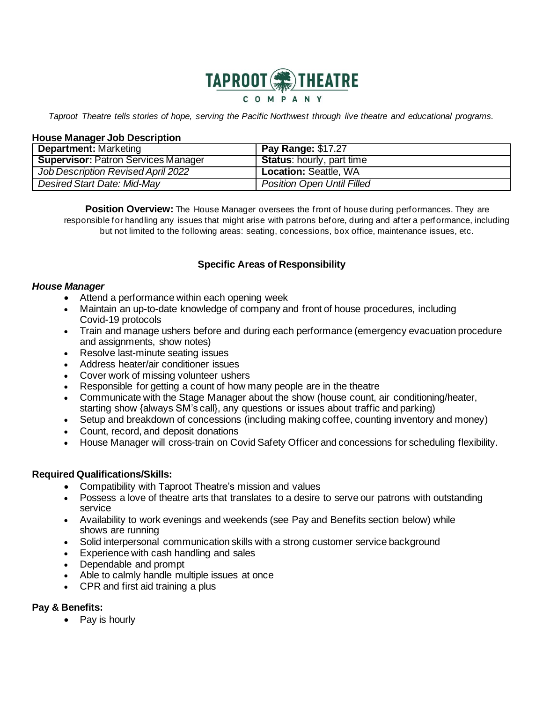

Taproot Theatre tells stories of hope, serving the Pacific Northwest through live theatre and educational programs.

### **House Manager Job Description**

| <b>Department:</b> Marketing               | <b>Pay Range: \$17.27</b>         |
|--------------------------------------------|-----------------------------------|
| <b>Supervisor: Patron Services Manager</b> | <b>Status:</b> hourly, part time  |
| Job Description Revised April 2022         | <b>Location: Seattle, WA</b>      |
| <b>Desired Start Date: Mid-May</b>         | <b>Position Open Until Filled</b> |

**Position Overview:** The House Manager oversees the front of house during performances. They are responsible for handling any issues that might arise with patrons before, during and after a performance, including but not limited to the following areas: seating, concessions, box office, maintenance issues, etc.

# **Specific Areas of Responsibility**

### *House Manager*

- Attend a performance within each opening week
- Maintain an up-to-date knowledge of company and front of house procedures, including Covid-19 protocols
- Train and manage ushers before and during each performance (emergency evacuation procedure and assignments, show notes)
- Resolve last-minute seating issues
- Address heater/air conditioner issues
- Cover work of missing volunteer ushers
- Responsible for getting a count of how many people are in the theatre
- Communicate with the Stage Manager about the show (house count, air conditioning/heater, starting show {always SM's call}, any questions or issues about traffic and parking)
- Setup and breakdown of concessions (including making coffee, counting inventory and money)
- Count, record, and deposit donations
- House Manager will cross-train on Covid Safety Officer and concessions for scheduling flexibility.

## **Required Qualifications/Skills:**

- Compatibility with Taproot Theatre's mission and values
- Possess a love of theatre arts that translates to a desire to serve our patrons with outstanding service
- Availability to work evenings and weekends (see Pay and Benefits section below) while shows are running
- Solid interpersonal communication skills with a strong customer service background
- Experience with cash handling and sales
- Dependable and prompt
- Able to calmly handle multiple issues at once
- CPR and first aid training a plus

# **Pay & Benefits:**

• Pay is hourly